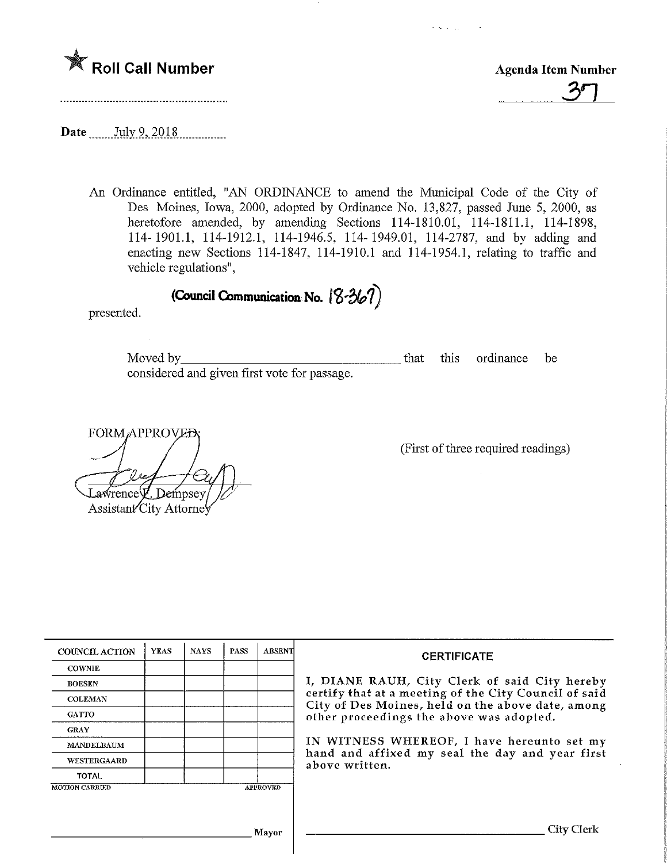

Roll Call Number<br>
Foll Call Number<br>
Foll Call Number<br>
The Agenda Item Number<br>
The Agenda Item Number

k salah sa

Date July 9, 2018

An Ordinance entitled, "AN ORDINANCE to amend the Municipal Code of the City of Des Moines, Iowa, 2000, adopted by Ordinance No. 13,827, passed June 5, 2000, as heretofore amended, by amending Sections 114-1810.01, 114-1811.1, 114-1898, 114-1901.1, 114-1912.1, 114-1946.5, 114-1949.01, 114-2787, and by adding and enacting new Sections 114-1847, 114-1910.1 and 114-1954.1, relating to traffic and vehicle regulations",

(Council Communication No.  $\left[ 8\text{-}367\right]$ 

presented.

Moved by considered and given first vote for passage. that this ordinance be

FORM/APPROV awrence **V**. Dempsey Assistant<sup>/</sup>City Attorney

(First of three required readings)

| <b>COUNCIL ACTION</b> | <b>YEAS</b> | <b>NAYS</b> | <b>PASS</b> | <b>ABSENT</b>   | <b>CERTIFICATE</b>                                                                                              |  |
|-----------------------|-------------|-------------|-------------|-----------------|-----------------------------------------------------------------------------------------------------------------|--|
| <b>COWNIE</b>         |             |             |             |                 | I, DIANE RAUH, City Clerk of said City hereby                                                                   |  |
| <b>BOESEN</b>         |             |             |             |                 |                                                                                                                 |  |
| <b>COLEMAN</b>        |             |             |             |                 | certify that at a meeting of the City Council of said<br>City of Des Moines, held on the above date, among      |  |
| <b>GATTO</b>          |             |             |             |                 | other proceedings the above was adopted.                                                                        |  |
| <b>GRAY</b>           |             |             |             |                 |                                                                                                                 |  |
| <b>MANDELBAUM</b>     |             |             |             |                 | IN WITNESS WHEREOF, I have hereunto set my<br>hand and affixed my seal the day and year first<br>above written. |  |
| WESTERGAARD           |             |             |             |                 |                                                                                                                 |  |
| <b>TOTAL</b>          |             |             |             |                 |                                                                                                                 |  |
| <b>MOTION CARRIED</b> |             |             |             | <b>APPROVED</b> |                                                                                                                 |  |
|                       |             |             |             |                 |                                                                                                                 |  |
| Mayor                 |             |             |             |                 | City Clerk                                                                                                      |  |
|                       |             |             |             |                 |                                                                                                                 |  |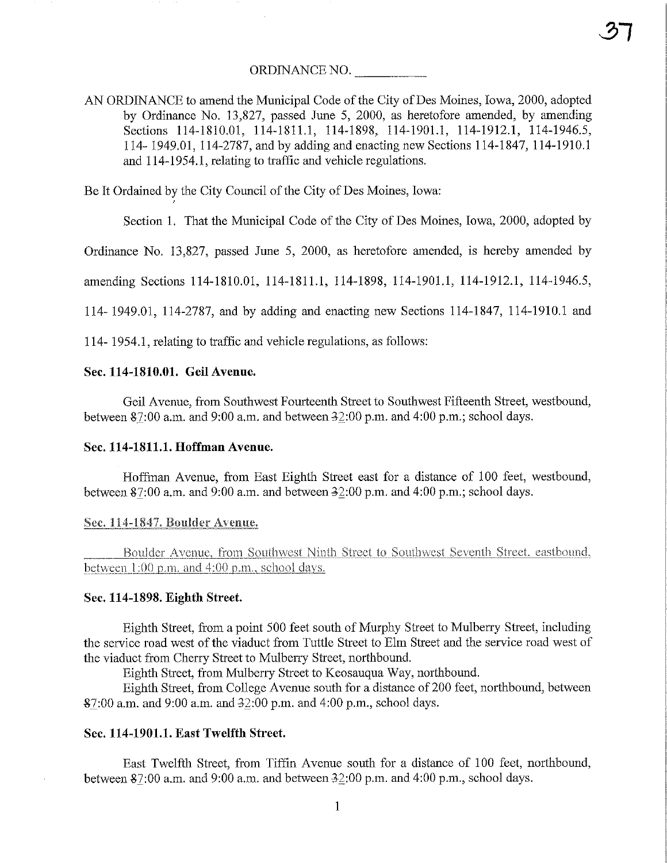AN ORDINANCE to amend the Municipal Code of the City of Des Moines, Iowa, 2000, adopted by Ordinance No. 13,827, passed June 5, 2000, as heretofore amended, by amending Sections 114-1810.01, 114-1811.1, 114-1898, 114-1901.1, 114-1912.1, 114-1946.5, 114- 1949.01, 114-2787, and by adding and enacting new Sections 114-1847,114-1910.1 and 114-1954.1, relating to traffic and vehicle regulations.

 $37$ 

Be It Ordained by the City Council of the City of Des Moines, Iowa:

Section 1. That the Municipal Code of the City of Des Moines, Iowa, 2000, adopted by

Ordinance No. 13,827, passed June 5, 2000, as heretofore amended, is hereby amended by

amending Sections 114-1810.01, 114-1811.1, 114-1898, 114-1901.1, 114-1912.1, 114-1946.5,

114" 1949.01, 114-2787, and by adding and enacting new Sections 114-1847, 114-1910.1 and

114- 1954.1, relating to traffic and vehicle regulations, as follows:

## Sec. 114-1810.01. Geil Avenue.

Geil Avenue, from Southwest Fourteenth Street to Southwest Fifteenth Street, westbound, between  $$7:00$  a.m. and  $9:00$  a.m. and between  $32:00$  p.m. and  $4:00$  p.m.; school days.

## Sec. 114-1811.1. Hoffman Avenue.

Hoffman Avenue, from East Eighth Street east for a distance of 100 feet, westbound, between  $87:00$  a.m. and  $9:00$  a.m. and between  $32:00$  p.m. and  $4:00$  p.m.; school days.

### Sec. 114-1847. Boulder Avenue.

Boulder Avenue, from Southwest Ninth Street to Southwest Seventh Street. eastbound, between 1:00 p.m. and 4:00 p.m., school days.

#### Sec. 114-1898. Eighth Street.

Eighth Street, from a point 500 feet south of Murphy Street to Mulberry Street, includmg the service road west of the viaduct from Turtle Street to Elm Street and the service road west of the viaduct from Cherry Street to Mulberry Street, northbound.

Eighth Street, from Mulberry Street to Keosauqua Way, northbound.

Eighth Street, from College Avenue south for a distance of 200 feet, northbound, between §7:00 a.m. and 9:00 a.m. and ^2:00 p.m. and 4:00 p.m., school days.

# Sec. 114-1901.1. East Twelfth Street

East Twelfth Street, from Tiffin Avenue south for a distance of 100 feet, northbound, between  $\frac{87:00 \text{ a.m.}}{2}$  a.m. and between 32:00 p.m. and 4:00 p.m., school days.